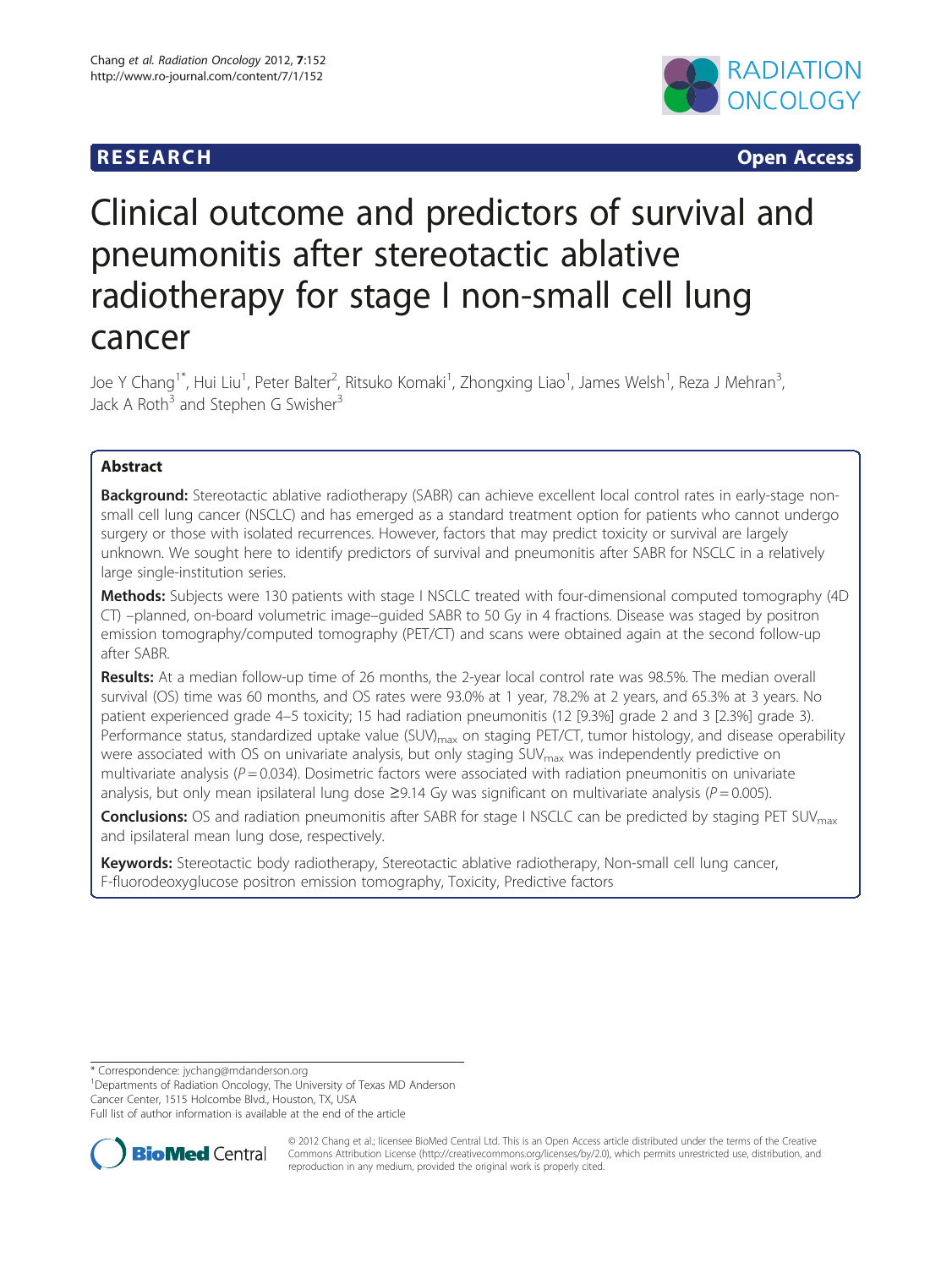## **RESEARCH CHEAR CHEART CHEART CHEART CHEART CHEART CHEART CHEART CHEART CHEART CHEART CHEART CHEART CHEART CHEA**



# Clinical outcome and predictors of survival and pneumonitis after stereotactic ablative radiotherapy for stage I non-small cell lung cancer

Joe Y Chang<sup>1\*</sup>, Hui Liu<sup>1</sup>, Peter Balter<sup>2</sup>, Ritsuko Komaki<sup>1</sup>, Zhongxing Liao<sup>1</sup>, James Welsh<sup>1</sup>, Reza J Mehran<sup>3</sup> , Jack A Roth<sup>3</sup> and Stephen G Swisher<sup>3</sup>

## Abstract

Background: Stereotactic ablative radiotherapy (SABR) can achieve excellent local control rates in early-stage nonsmall cell lung cancer (NSCLC) and has emerged as a standard treatment option for patients who cannot undergo surgery or those with isolated recurrences. However, factors that may predict toxicity or survival are largely unknown. We sought here to identify predictors of survival and pneumonitis after SABR for NSCLC in a relatively large single-institution series.

Methods: Subjects were 130 patients with stage I NSCLC treated with four-dimensional computed tomography (4D) CT) –planned, on-board volumetric image–guided SABR to 50 Gy in 4 fractions. Disease was staged by positron emission tomography/computed tomography (PET/CT) and scans were obtained again at the second follow-up after SABR.

Results: At a median follow-up time of 26 months, the 2-year local control rate was 98.5%. The median overall survival (OS) time was 60 months, and OS rates were 93.0% at 1 year, 78.2% at 2 years, and 65.3% at 3 years. No patient experienced grade 4–5 toxicity; 15 had radiation pneumonitis (12 [9.3%] grade 2 and 3 [2.3%] grade 3). Performance status, standardized uptake value (SUV)<sub>max</sub> on staging PET/CT, tumor histology, and disease operability were associated with OS on univariate analysis, but only staging SUV<sub>max</sub> was independently predictive on multivariate analysis ( $P = 0.034$ ). Dosimetric factors were associated with radiation pneumonitis on univariate analysis, but only mean ipsilateral lung dose  $\geq$ 9.14 Gy was significant on multivariate analysis ( $P = 0.005$ ).

**Conclusions:** OS and radiation pneumonitis after SABR for stage I NSCLC can be predicted by staging PET SUV<sub>max</sub> and ipsilateral mean lung dose, respectively.

Keywords: Stereotactic body radiotherapy, Stereotactic ablative radiotherapy, Non-small cell lung cancer, F-fluorodeoxyglucose positron emission tomography, Toxicity, Predictive factors

\* Correspondence: [jychang@mdanderson.org](mailto:jychang@mdanderson.org) <sup>1</sup>

<sup>1</sup>Departments of Radiation Oncology, The University of Texas MD Anderson Cancer Center, 1515 Holcombe Blvd., Houston, TX, USA

Full list of author information is available at the end of the article



© 2012 Chang et al.; licensee BioMed Central Ltd. This is an Open Access article distributed under the terms of the Creative Commons Attribution License [\(http://creativecommons.org/licenses/by/2.0\)](http://creativecommons.org/licenses/by/2.0), which permits unrestricted use, distribution, and reproduction in any medium, provided the original work is properly cited.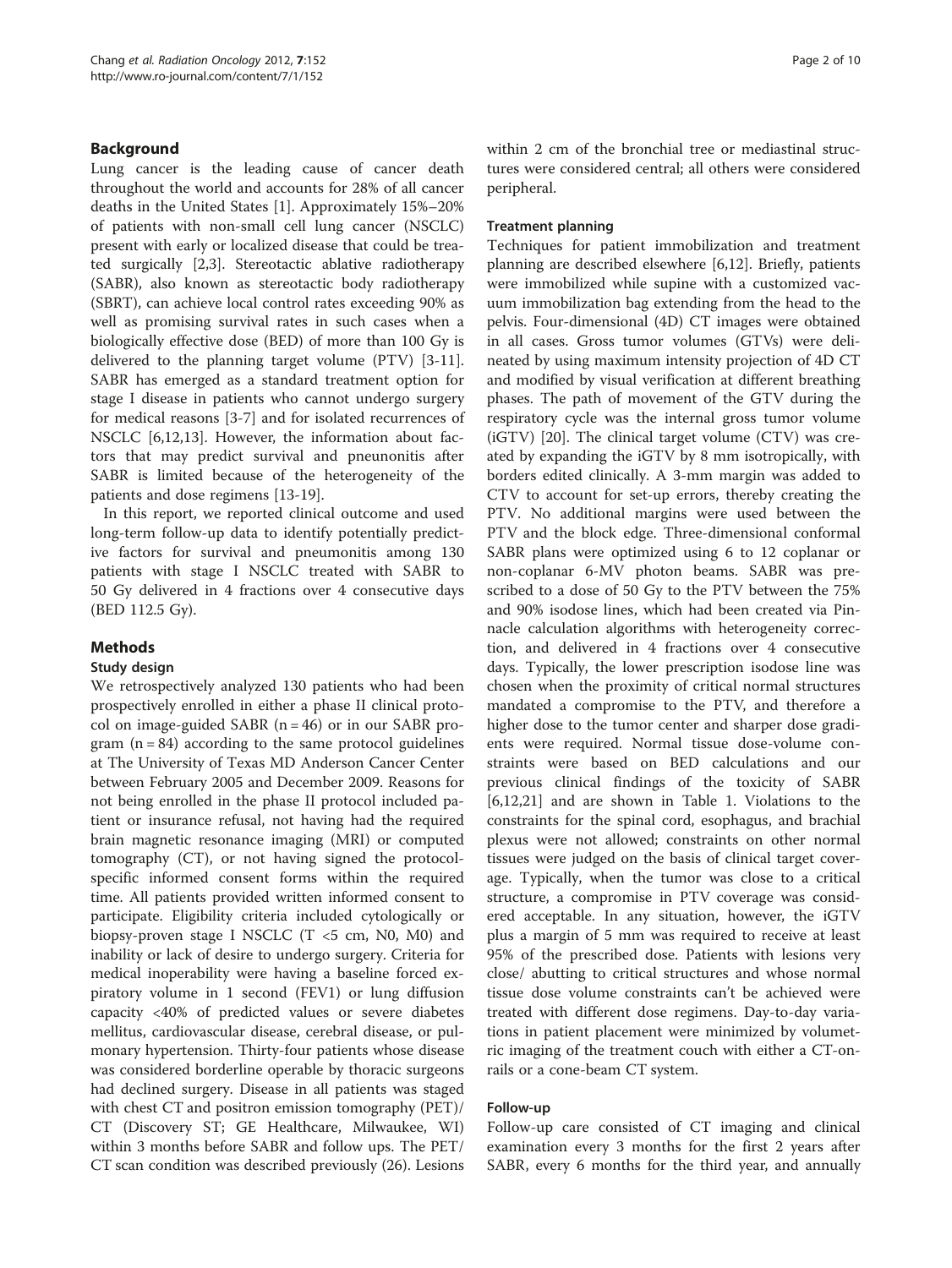## Background

Lung cancer is the leading cause of cancer death throughout the world and accounts for 28% of all cancer deaths in the United States [\[1](#page-8-0)]. Approximately 15%–20% of patients with non-small cell lung cancer (NSCLC) present with early or localized disease that could be treated surgically [[2,3\]](#page-9-0). Stereotactic ablative radiotherapy (SABR), also known as stereotactic body radiotherapy (SBRT), can achieve local control rates exceeding 90% as well as promising survival rates in such cases when a biologically effective dose (BED) of more than 100 Gy is delivered to the planning target volume (PTV) [[3-11](#page-9-0)]. SABR has emerged as a standard treatment option for stage I disease in patients who cannot undergo surgery for medical reasons [[3-7](#page-9-0)] and for isolated recurrences of NSCLC [[6,12,13\]](#page-9-0). However, the information about factors that may predict survival and pneunonitis after SABR is limited because of the heterogeneity of the patients and dose regimens [[13](#page-9-0)-[19\]](#page-9-0).

In this report, we reported clinical outcome and used long-term follow-up data to identify potentially predictive factors for survival and pneumonitis among 130 patients with stage I NSCLC treated with SABR to 50 Gy delivered in 4 fractions over 4 consecutive days (BED 112.5 Gy).

## Methods

## Study design

We retrospectively analyzed 130 patients who had been prospectively enrolled in either a phase II clinical protocol on image-guided SABR  $(n = 46)$  or in our SABR program  $(n = 84)$  according to the same protocol guidelines at The University of Texas MD Anderson Cancer Center between February 2005 and December 2009. Reasons for not being enrolled in the phase II protocol included patient or insurance refusal, not having had the required brain magnetic resonance imaging (MRI) or computed tomography (CT), or not having signed the protocolspecific informed consent forms within the required time. All patients provided written informed consent to participate. Eligibility criteria included cytologically or biopsy-proven stage I NSCLC  $(T \le 5 \text{ cm}, N0, M0)$  and inability or lack of desire to undergo surgery. Criteria for medical inoperability were having a baseline forced expiratory volume in 1 second (FEV1) or lung diffusion capacity <40% of predicted values or severe diabetes mellitus, cardiovascular disease, cerebral disease, or pulmonary hypertension. Thirty-four patients whose disease was considered borderline operable by thoracic surgeons had declined surgery. Disease in all patients was staged with chest CT and positron emission tomography (PET)/ CT (Discovery ST; GE Healthcare, Milwaukee, WI) within 3 months before SABR and follow ups. The PET/ CT scan condition was described previously (26). Lesions within 2 cm of the bronchial tree or mediastinal structures were considered central; all others were considered peripheral.

#### Treatment planning

Techniques for patient immobilization and treatment planning are described elsewhere [[6,12\]](#page-9-0). Briefly, patients were immobilized while supine with a customized vacuum immobilization bag extending from the head to the pelvis. Four-dimensional (4D) CT images were obtained in all cases. Gross tumor volumes (GTVs) were delineated by using maximum intensity projection of 4D CT and modified by visual verification at different breathing phases. The path of movement of the GTV during the respiratory cycle was the internal gross tumor volume (iGTV) [[20](#page-9-0)]. The clinical target volume (CTV) was created by expanding the iGTV by 8 mm isotropically, with borders edited clinically. A 3-mm margin was added to CTV to account for set-up errors, thereby creating the PTV. No additional margins were used between the PTV and the block edge. Three-dimensional conformal SABR plans were optimized using 6 to 12 coplanar or non-coplanar 6-MV photon beams. SABR was prescribed to a dose of 50 Gy to the PTV between the 75% and 90% isodose lines, which had been created via Pinnacle calculation algorithms with heterogeneity correction, and delivered in 4 fractions over 4 consecutive days. Typically, the lower prescription isodose line was chosen when the proximity of critical normal structures mandated a compromise to the PTV, and therefore a higher dose to the tumor center and sharper dose gradients were required. Normal tissue dose-volume constraints were based on BED calculations and our previous clinical findings of the toxicity of SABR [[6,12,21\]](#page-9-0) and are shown in Table [1.](#page-2-0) Violations to the constraints for the spinal cord, esophagus, and brachial plexus were not allowed; constraints on other normal tissues were judged on the basis of clinical target coverage. Typically, when the tumor was close to a critical structure, a compromise in PTV coverage was considered acceptable. In any situation, however, the iGTV plus a margin of 5 mm was required to receive at least 95% of the prescribed dose. Patients with lesions very close/ abutting to critical structures and whose normal tissue dose volume constraints can't be achieved were treated with different dose regimens. Day-to-day variations in patient placement were minimized by volumetric imaging of the treatment couch with either a CT-onrails or a cone-beam CT system.

#### Follow-up

Follow-up care consisted of CT imaging and clinical examination every 3 months for the first 2 years after SABR, every 6 months for the third year, and annually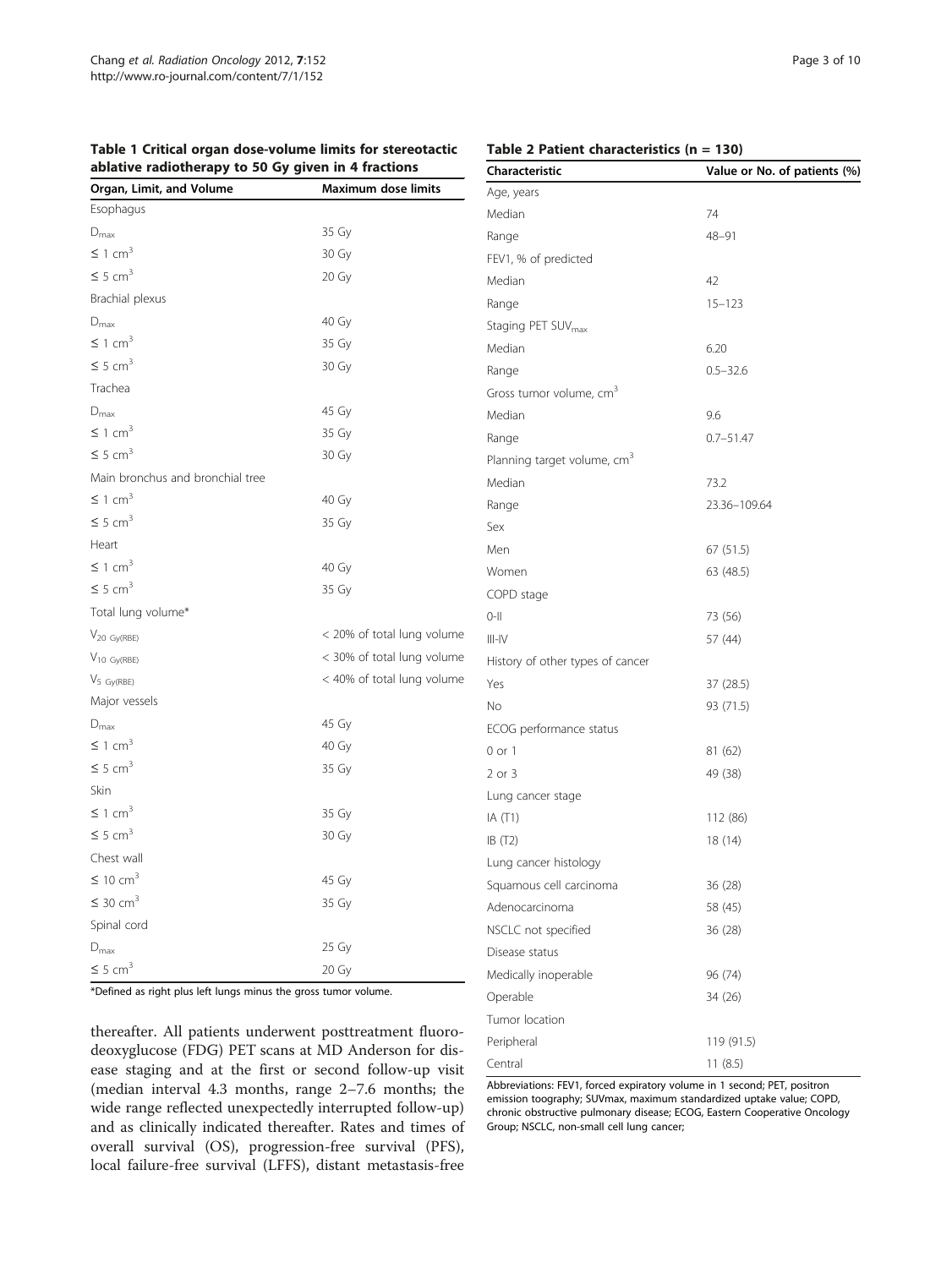<span id="page-2-0"></span>

|                                                     |  |  |  | Table 1 Critical organ dose-volume limits for stereotactic |  |
|-----------------------------------------------------|--|--|--|------------------------------------------------------------|--|
| ablative radiotherapy to 50 Gy given in 4 fractions |  |  |  |                                                            |  |

#### Table 2 Patient characteristics (n = 130)

| Organ, Limit, and Volume         | <b>Maximum dose limits</b> |
|----------------------------------|----------------------------|
| Esophagus                        |                            |
| $D_{\text{max}}$                 | 35 Gy                      |
| $\leq$ 1 cm <sup>3</sup>         | 30 Gy                      |
| $\leq 5$ cm <sup>3</sup>         | 20 Gy                      |
| Brachial plexus                  |                            |
| $D_{\text{max}}$                 | 40 Gy                      |
| $\leq 1$ cm <sup>3</sup>         | 35 Gy                      |
| $\leq 5$ cm <sup>3</sup>         | 30 Gy                      |
| Trachea                          |                            |
| $D_{\text{max}}$                 | 45 Gy                      |
| $\leq 1$ cm <sup>3</sup>         | 35 Gy                      |
| $\leq 5$ cm <sup>3</sup>         | 30 Gy                      |
| Main bronchus and bronchial tree |                            |
| $\leq$ 1 cm <sup>3</sup>         | 40 Gy                      |
| $\leq 5$ cm <sup>3</sup>         | 35 Gy                      |
| Heart                            |                            |
| $\leq$ 1 cm <sup>3</sup>         | 40 Gy                      |
| $\leq 5$ cm <sup>3</sup>         | 35 Gy                      |
| Total lung volume*               |                            |
| $V_{20\;Gy(RBE)}$                | < 20% of total lung volume |
| $V_{10}$ Gy(RBE)                 | < 30% of total lung volume |
| $V_{5\ Gy(RBE)}$                 | < 40% of total lung volume |
| Major vessels                    |                            |
| $D_{\text{max}}$                 | 45 Gy                      |
| $\leq 1$ cm <sup>3</sup>         | 40 Gy                      |
| $\leq 5$ cm <sup>3</sup>         | 35 Gy                      |
| Skin                             |                            |
| $\leq$ 1 cm <sup>3</sup>         | 35 Gy                      |
| $\leq 5$ cm <sup>3</sup>         | 30 Gy                      |
| Chest wall                       |                            |
| $\leq 10$ cm <sup>3</sup>        | 45 Gy                      |
| $\leq$ 30 cm <sup>3</sup>        | 35 Gy                      |
| Spinal cord                      |                            |
| $D_{\text{max}}$                 | 25 Gy                      |
| $\leq 5$ cm <sup>3</sup>         | 20 Gy                      |

\*Defined as right plus left lungs minus the gross tumor volume.

thereafter. All patients underwent posttreatment fluorodeoxyglucose (FDG) PET scans at MD Anderson for disease staging and at the first or second follow-up visit (median interval 4.3 months, range 2–7.6 months; the wide range reflected unexpectedly interrupted follow-up) and as clinically indicated thereafter. Rates and times of overall survival (OS), progression-free survival (PFS), local failure-free survival (LFFS), distant metastasis-free

| Characteristic                          | Value or No. of patients (%) |
|-----------------------------------------|------------------------------|
| Age, years                              |                              |
| Median                                  | 74                           |
| Range                                   | $48 - 91$                    |
| FEV1, % of predicted                    |                              |
| Median                                  | 42                           |
| Range                                   | $15 - 123$                   |
| Staging PET SUV <sub>max</sub>          |                              |
| Median                                  | 6.20                         |
| Range                                   | $0.5 - 32.6$                 |
| Gross tumor volume, cm <sup>3</sup>     |                              |
| Median                                  | 9.6                          |
| Range                                   | $0.7 - 51.47$                |
| Planning target volume, cm <sup>3</sup> |                              |
| Median                                  | 73.2                         |
| Range                                   | 23.36-109.64                 |
| Sex                                     |                              |
| Men                                     | 67(51.5)                     |
| Women                                   | 63 (48.5)                    |
| COPD stage                              |                              |
| $0-11$                                  | 73 (56)                      |
| $III-N$                                 | 57 (44)                      |
| History of other types of cancer        |                              |
| Yes                                     | 37 (28.5)                    |
| No                                      | 93 (71.5)                    |
| ECOG performance status                 |                              |
| 0 or 1                                  | 81 (62)                      |
| 2 or 3                                  | 49 (38)                      |
| Lung cancer stage                       |                              |
| IA (T1)                                 | 112 (86)                     |
| IB (T2)                                 | 18 (14)                      |
| Lung cancer histology                   |                              |
| Squamous cell carcinoma                 | 36 (28)                      |
| Adenocarcinoma                          | 58 (45)                      |
| NSCLC not specified                     | 36 (28)                      |
| Disease status                          |                              |
| Medically inoperable                    | 96 (74)                      |
| Operable                                | 34 (26)                      |
| Tumor location                          |                              |
| Peripheral                              | 119 (91.5)                   |
| Central                                 | 11(8.5)                      |

Abbreviations: FEV1, forced expiratory volume in 1 second; PET, positron emission toography; SUVmax, maximum standardized uptake value; COPD, chronic obstructive pulmonary disease; ECOG, Eastern Cooperative Oncology Group; NSCLC, non-small cell lung cancer;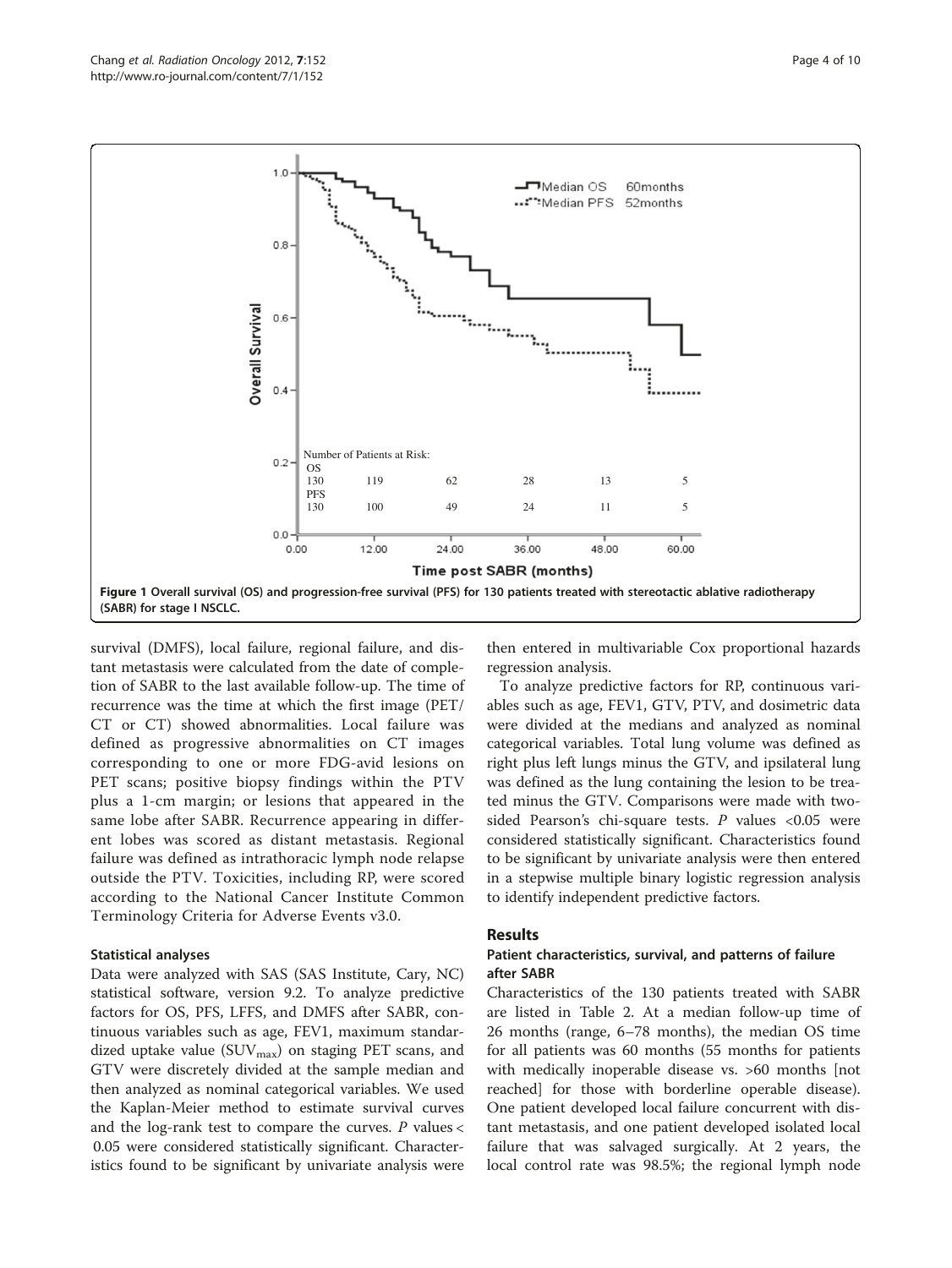<span id="page-3-0"></span>

survival (DMFS), local failure, regional failure, and distant metastasis were calculated from the date of completion of SABR to the last available follow-up. The time of recurrence was the time at which the first image (PET/ CT or CT) showed abnormalities. Local failure was defined as progressive abnormalities on CT images corresponding to one or more FDG-avid lesions on PET scans; positive biopsy findings within the PTV plus a 1-cm margin; or lesions that appeared in the same lobe after SABR. Recurrence appearing in different lobes was scored as distant metastasis. Regional failure was defined as intrathoracic lymph node relapse outside the PTV. Toxicities, including RP, were scored according to the National Cancer Institute Common Terminology Criteria for Adverse Events v3.0.

#### Statistical analyses

Data were analyzed with SAS (SAS Institute, Cary, NC) statistical software, version 9.2. To analyze predictive factors for OS, PFS, LFFS, and DMFS after SABR, continuous variables such as age, FEV1, maximum standardized uptake value ( $\text{SUV}_{\text{max}}$ ) on staging PET scans, and GTV were discretely divided at the sample median and then analyzed as nominal categorical variables. We used the Kaplan-Meier method to estimate survival curves and the log-rank test to compare the curves.  $P$  values  $\lt$ 0.05 were considered statistically significant. Characteristics found to be significant by univariate analysis were then entered in multivariable Cox proportional hazards regression analysis.

To analyze predictive factors for RP, continuous variables such as age, FEV1, GTV, PTV, and dosimetric data were divided at the medians and analyzed as nominal categorical variables. Total lung volume was defined as right plus left lungs minus the GTV, and ipsilateral lung was defined as the lung containing the lesion to be treated minus the GTV. Comparisons were made with twosided Pearson's chi-square tests. P values  $< 0.05$  were considered statistically significant. Characteristics found to be significant by univariate analysis were then entered in a stepwise multiple binary logistic regression analysis to identify independent predictive factors.

## Results

### Patient characteristics, survival, and patterns of failure after SABR

Characteristics of the 130 patients treated with SABR are listed in Table [2.](#page-2-0) At a median follow-up time of 26 months (range, 6–78 months), the median OS time for all patients was 60 months (55 months for patients with medically inoperable disease vs. >60 months [not reached] for those with borderline operable disease). One patient developed local failure concurrent with distant metastasis, and one patient developed isolated local failure that was salvaged surgically. At 2 years, the local control rate was 98.5%; the regional lymph node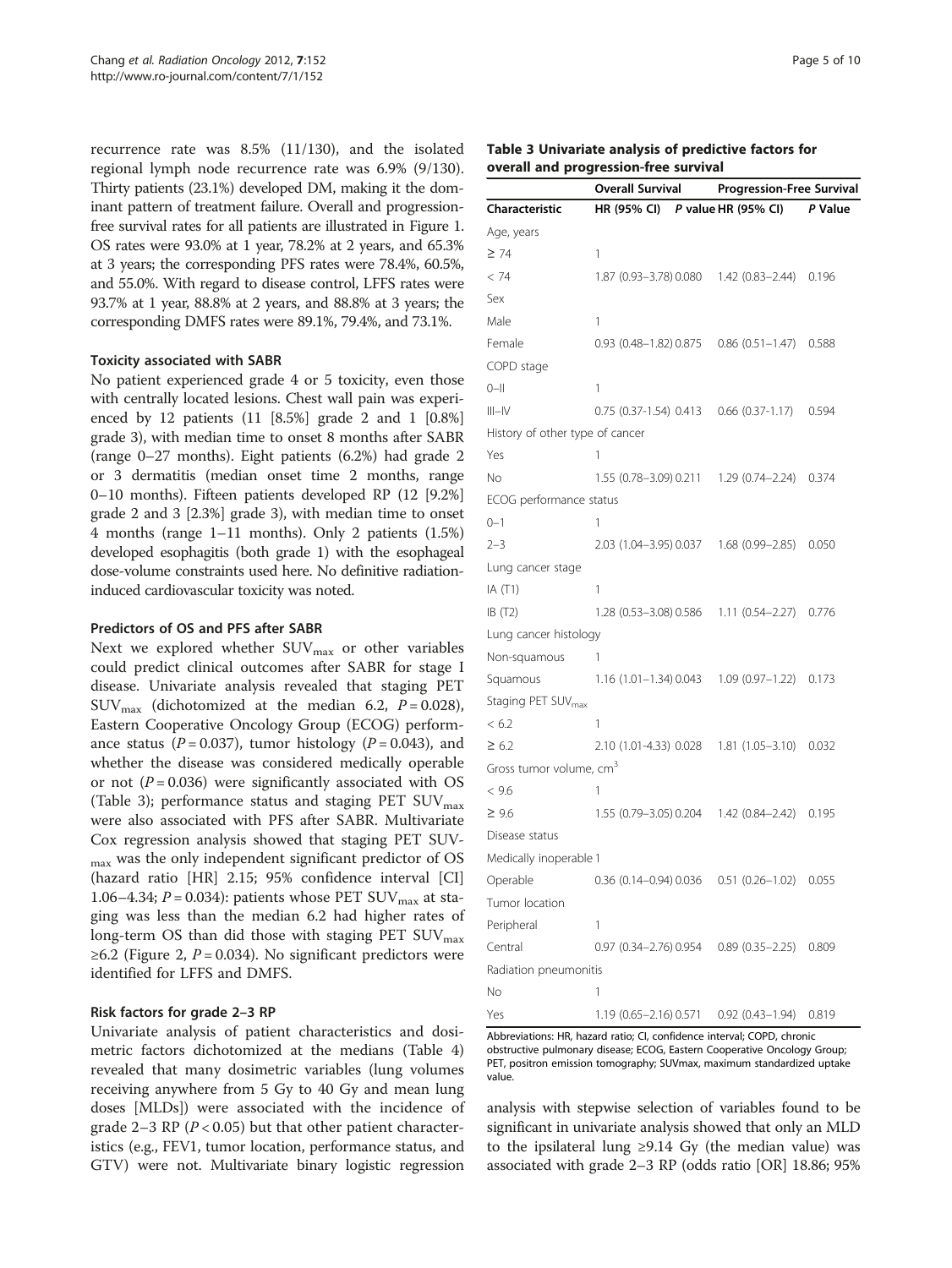recurrence rate was 8.5% (11/130), and the isolated regional lymph node recurrence rate was 6.9% (9/130). Thirty patients (23.1%) developed DM, making it the dominant pattern of treatment failure. Overall and progressionfree survival rates for all patients are illustrated in Figure [1](#page-3-0). OS rates were 93.0% at 1 year, 78.2% at 2 years, and 65.3% at 3 years; the corresponding PFS rates were 78.4%, 60.5%, and 55.0%. With regard to disease control, LFFS rates were 93.7% at 1 year, 88.8% at 2 years, and 88.8% at 3 years; the corresponding DMFS rates were 89.1%, 79.4%, and 73.1%.

#### Toxicity associated with SABR

No patient experienced grade 4 or 5 toxicity, even those with centrally located lesions. Chest wall pain was experienced by 12 patients (11 [8.5%] grade 2 and 1 [0.8%] grade 3), with median time to onset 8 months after SABR (range 0–27 months). Eight patients (6.2%) had grade 2 or 3 dermatitis (median onset time 2 months, range 0–10 months). Fifteen patients developed RP (12 [9.2%] grade 2 and 3 [2.3%] grade 3), with median time to onset 4 months (range 1–11 months). Only 2 patients (1.5%) developed esophagitis (both grade 1) with the esophageal dose-volume constraints used here. No definitive radiationinduced cardiovascular toxicity was noted.

#### Predictors of OS and PFS after SABR

Next we explored whether  $\text{SUV}_{\text{max}}$  or other variables could predict clinical outcomes after SABR for stage I disease. Univariate analysis revealed that staging PET  $\text{SUV}_{\text{max}}$  (dichotomized at the median 6.2,  $P = 0.028$ ), Eastern Cooperative Oncology Group (ECOG) performance status ( $P = 0.037$ ), tumor histology ( $P = 0.043$ ), and whether the disease was considered medically operable or not  $(P = 0.036)$  were significantly associated with OS (Table 3); performance status and staging PET  $\text{SUV}_{\text{max}}$ were also associated with PFS after SABR. Multivariate Cox regression analysis showed that staging PET SUVmax was the only independent significant predictor of OS (hazard ratio [HR] 2.15; 95% confidence interval [CI] 1.06–4.34;  $P = 0.034$ ): patients whose PET SUV<sub>max</sub> at staging was less than the median 6.2 had higher rates of long-term OS than did those with staging PET  $\text{SUV}_{\text{max}}$ ≥6.2 (Figure [2,](#page-5-0)  $P = 0.034$ ). No significant predictors were identified for LFFS and DMFS.

#### Risk factors for grade 2–3 RP

Univariate analysis of patient characteristics and dosimetric factors dichotomized at the medians (Table [4](#page-6-0)) revealed that many dosimetric variables (lung volumes receiving anywhere from 5 Gy to 40 Gy and mean lung doses [MLDs]) were associated with the incidence of grade 2–3 RP ( $P < 0.05$ ) but that other patient characteristics (e.g., FEV1, tumor location, performance status, and GTV) were not. Multivariate binary logistic regression

| Table 3 Univariate analysis of predictive factors for |  |
|-------------------------------------------------------|--|
| overall and progression-free survival                 |  |

|                                     | <b>Overall Survival</b>                         | <b>Progression-Free Survival</b> |  |  |
|-------------------------------------|-------------------------------------------------|----------------------------------|--|--|
| Characteristic                      | HR (95% CI) P value HR (95% CI)                 | P Value                          |  |  |
| Age, years                          |                                                 |                                  |  |  |
| $\geq$ 74                           | 1                                               |                                  |  |  |
| < 74                                | 1.87 (0.93-3.78) 0.080 1.42 (0.83-2.44) 0.196   |                                  |  |  |
| Sex                                 |                                                 |                                  |  |  |
| Male                                | 1                                               |                                  |  |  |
| Female                              | 0.93 (0.48-1.82) 0.875 0.86 (0.51-1.47) 0.588   |                                  |  |  |
| COPD stage                          |                                                 |                                  |  |  |
| $0 -$ II                            | 1                                               |                                  |  |  |
| $III - IV$                          | 0.75 (0.37-1.54) 0.413 0.66 (0.37-1.17) 0.594   |                                  |  |  |
| History of other type of cancer     |                                                 |                                  |  |  |
| Yes                                 | 1                                               |                                  |  |  |
| Νo                                  | 1.55 (0.78-3.09) 0.211 1.29 (0.74-2.24) 0.374   |                                  |  |  |
| ECOG performance status             |                                                 |                                  |  |  |
| $0 - 1$                             | 1                                               |                                  |  |  |
| $2 - 3$                             | 2.03 (1.04-3.95) 0.037 1.68 (0.99-2.85) 0.050   |                                  |  |  |
| Lung cancer stage                   |                                                 |                                  |  |  |
| IA $(T1)$                           | 1                                               |                                  |  |  |
| IB(T2)                              | 1.28 (0.53-3.08) 0.586 1.11 (0.54-2.27) 0.776   |                                  |  |  |
| Lung cancer histology               |                                                 |                                  |  |  |
| Non-squamous                        | 1                                               |                                  |  |  |
| Squamous                            | 1.16 (1.01-1.34) 0.043 1.09 (0.97-1.22) 0.173   |                                  |  |  |
| Staging PET SUV <sub>max</sub>      |                                                 |                                  |  |  |
| < 6.2                               | 1                                               |                                  |  |  |
| $\geq 6.2$                          | 2.10 (1.01-4.33) 0.028 1.81 (1.05-3.10) 0.032   |                                  |  |  |
| Gross tumor volume, cm <sup>3</sup> |                                                 |                                  |  |  |
| < 9.6                               | 1                                               |                                  |  |  |
| $\geq 9.6$                          | 1.55 (0.79-3.05) 0.204 1.42 (0.84-2.42) 0.195   |                                  |  |  |
| Disease status                      |                                                 |                                  |  |  |
| Medically inoperable 1              |                                                 |                                  |  |  |
| Operable                            | $0.36$ (0.14-0.94) 0.036 $0.51$ (0.26-1.02)     | 0.055                            |  |  |
| Tumor location                      |                                                 |                                  |  |  |
| Peripheral                          | 1                                               |                                  |  |  |
| Central                             | $0.97$ (0.34-2.76) 0.954 0.89 (0.35-2.25)       | 0.809                            |  |  |
| Radiation pneumonitis               |                                                 |                                  |  |  |
| Νo                                  | 1                                               |                                  |  |  |
| Yes                                 | $1.19(0.65 - 2.16)0.571(0.92(0.43 - 1.94)0.819$ |                                  |  |  |

Abbreviations: HR, hazard ratio; CI, confidence interval; COPD, chronic obstructive pulmonary disease; ECOG, Eastern Cooperative Oncology Group; PET, positron emission tomography; SUVmax, maximum standardized uptake value.

analysis with stepwise selection of variables found to be significant in univariate analysis showed that only an MLD to the ipsilateral lung ≥9.14 Gy (the median value) was associated with grade 2–3 RP (odds ratio [OR] 18.86; 95%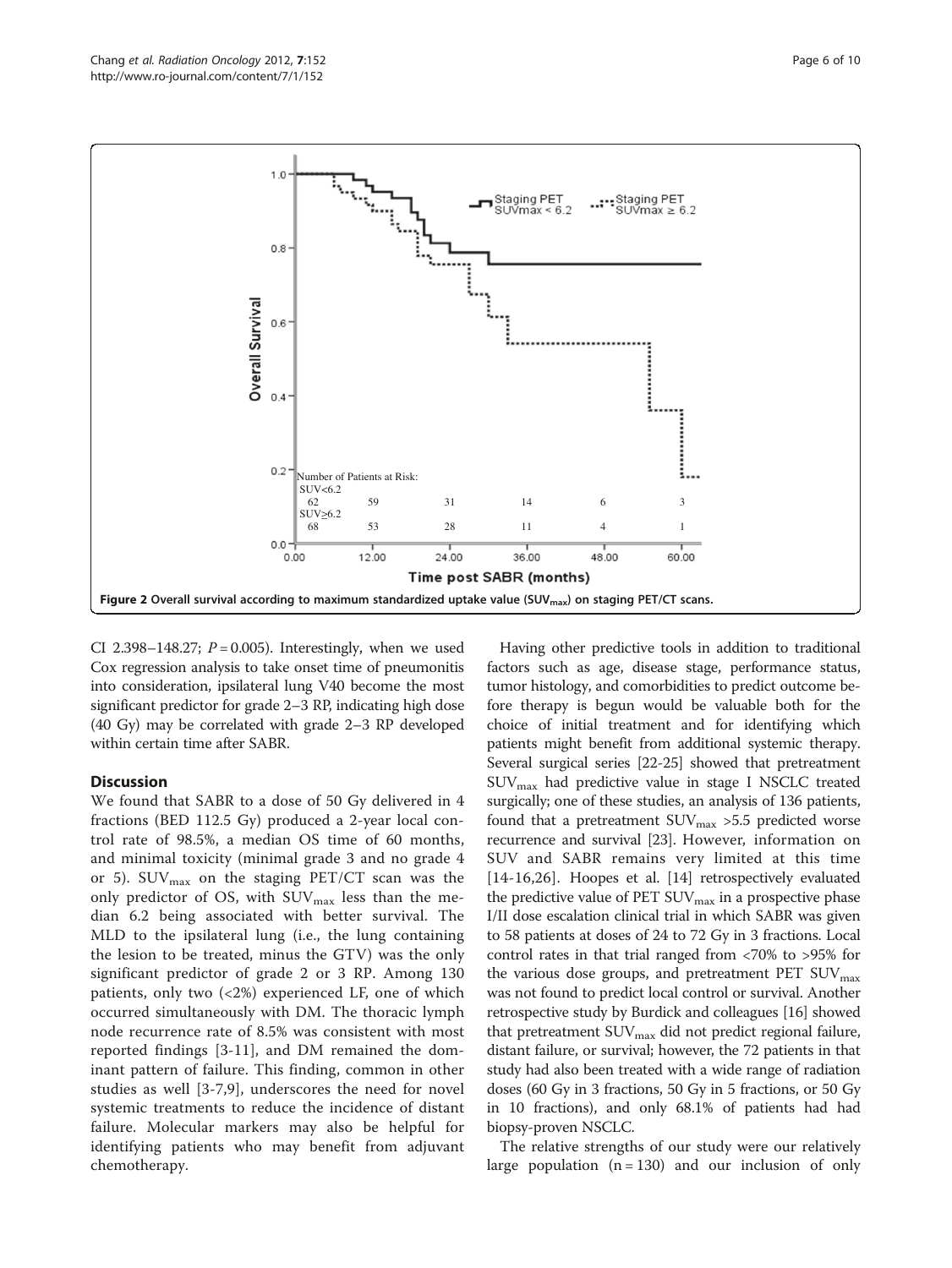<span id="page-5-0"></span>

CI 2.398-148.27;  $P = 0.005$ ). Interestingly, when we used Cox regression analysis to take onset time of pneumonitis into consideration, ipsilateral lung V40 become the most significant predictor for grade 2–3 RP, indicating high dose (40 Gy) may be correlated with grade 2–3 RP developed within certain time after SABR.

## **Discussion**

We found that SABR to a dose of 50 Gy delivered in 4 fractions (BED 112.5 Gy) produced a 2-year local control rate of 98.5%, a median OS time of 60 months, and minimal toxicity (minimal grade 3 and no grade 4 or 5).  $\text{SUV}_{\text{max}}$  on the staging PET/CT scan was the only predictor of OS, with  $\text{SUV}_{\text{max}}$  less than the median 6.2 being associated with better survival. The MLD to the ipsilateral lung (i.e., the lung containing the lesion to be treated, minus the GTV) was the only significant predictor of grade 2 or 3 RP. Among 130 patients, only two  $\left( < 2\% \right)$  experienced LF, one of which occurred simultaneously with DM. The thoracic lymph node recurrence rate of 8.5% was consistent with most reported findings [[3-11\]](#page-9-0), and DM remained the dominant pattern of failure. This finding, common in other studies as well [\[3](#page-9-0)-[7,9](#page-9-0)], underscores the need for novel systemic treatments to reduce the incidence of distant failure. Molecular markers may also be helpful for identifying patients who may benefit from adjuvant chemotherapy.

Having other predictive tools in addition to traditional factors such as age, disease stage, performance status, tumor histology, and comorbidities to predict outcome before therapy is begun would be valuable both for the choice of initial treatment and for identifying which patients might benefit from additional systemic therapy. Several surgical series [[22](#page-9-0)-[25\]](#page-9-0) showed that pretreatment SUVmax had predictive value in stage I NSCLC treated surgically; one of these studies, an analysis of 136 patients, found that a pretreatment  $\text{SUV}_{\text{max}} > 5.5$  predicted worse recurrence and survival [\[23\]](#page-9-0). However, information on SUV and SABR remains very limited at this time [[14](#page-9-0)-[16](#page-9-0),[26](#page-9-0)]. Hoopes et al. [[14](#page-9-0)] retrospectively evaluated the predictive value of PET  $\text{SUV}_{\text{max}}$  in a prospective phase I/II dose escalation clinical trial in which SABR was given to 58 patients at doses of 24 to 72 Gy in 3 fractions. Local control rates in that trial ranged from <70% to >95% for the various dose groups, and pretreatment PET  $\text{SUV}_{\text{max}}$ was not found to predict local control or survival. Another retrospective study by Burdick and colleagues [\[16\]](#page-9-0) showed that pretreatment  $\text{SUV}_{\text{max}}$  did not predict regional failure, distant failure, or survival; however, the 72 patients in that study had also been treated with a wide range of radiation doses (60 Gy in 3 fractions, 50 Gy in 5 fractions, or 50 Gy in 10 fractions), and only 68.1% of patients had had biopsy-proven NSCLC.

The relative strengths of our study were our relatively large population  $(n = 130)$  and our inclusion of only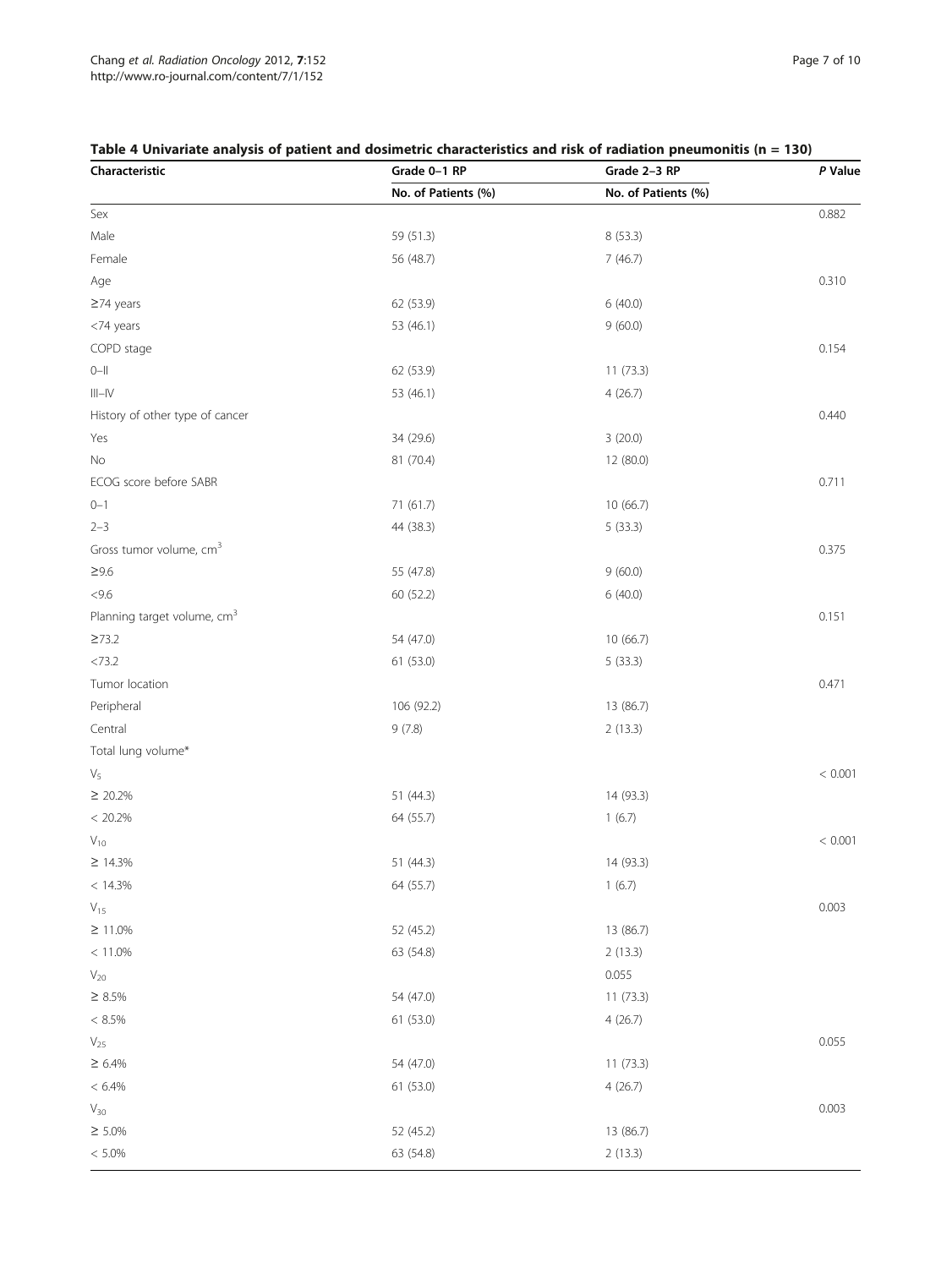## <span id="page-6-0"></span>Table 4 Univariate analysis of patient and dosimetric characteristics and risk of radiation pneumonitis (n = 130)

| Characteristic                          | Grade 0-1 RP        | Grade 2-3 RP        | P Value |
|-----------------------------------------|---------------------|---------------------|---------|
|                                         | No. of Patients (%) | No. of Patients (%) |         |
| Sex                                     |                     |                     | 0.882   |
| Male                                    | 59 (51.3)           | 8 (53.3)            |         |
| Female                                  | 56 (48.7)           | 7(46.7)             |         |
| Age                                     |                     |                     | 0.310   |
| $\geq$ 74 years                         | 62 (53.9)           | 6(40.0)             |         |
| <74 years                               | 53 (46.1)           | 9(60.0)             |         |
| COPD stage                              |                     |                     | 0.154   |
| $0 - 11$                                | 62 (53.9)           | 11(73.3)            |         |
| $\vert\vert\vert-\vert\vert$            | 53 (46.1)           | 4(26.7)             |         |
| History of other type of cancer         |                     |                     | 0.440   |
| Yes                                     | 34 (29.6)           | 3(20.0)             |         |
| No                                      | 81 (70.4)           | 12 (80.0)           |         |
| ECOG score before SABR                  |                     |                     | 0.711   |
| $0 - 1$                                 | 71 (61.7)           | 10 (66.7)           |         |
| $2 - 3$                                 | 44 (38.3)           | 5(33.3)             |         |
| Gross tumor volume, cm <sup>3</sup>     |                     |                     | 0.375   |
| $\geq 9.6$                              | 55 (47.8)           | 9(60.0)             |         |
| < 9.6                                   | 60 (52.2)           | 6(40.0)             |         |
| Planning target volume, cm <sup>3</sup> |                     |                     | 0.151   |
| $\geq 73.2$                             | 54 (47.0)           | 10 (66.7)           |         |
| <73.2                                   | 61(53.0)            | 5(33.3)             |         |
| Tumor location                          |                     |                     | 0.471   |
| Peripheral                              | 106 (92.2)          | 13 (86.7)           |         |
| Central                                 | 9(7.8)              | 2(13.3)             |         |
| Total lung volume*                      |                     |                     |         |
| $\mathsf{V}_5$                          |                     |                     | < 0.001 |
| $\geq 20.2\%$                           | 51(44.3)            | 14 (93.3)           |         |
| $< 20.2\%$                              | 64 (55.7)           | 1(6.7)              |         |
| $\mathsf{V}_{\mathsf{10}}$              |                     |                     | < 0.001 |
| $\geq 14.3\%$                           | 51 (44.3)           | 14 (93.3)           |         |
| $< 14.3\%$                              | 64 (55.7)           | 1(6.7)              |         |
| $\mathsf{V}_{15}$                       |                     |                     | 0.003   |
| $\geq 11.0\%$                           | 52 (45.2)           | 13 (86.7)           |         |
| $< 11.0\%$                              | 63 (54.8)           | 2(13.3)             |         |
| $\mathsf{V}_{20}$                       |                     | 0.055               |         |
| $\geq$ 8.5%                             | 54 (47.0)           | 11(73.3)            |         |
| $<\,8.5\%$                              | 61 (53.0)           | 4(26.7)             |         |
| $\mathsf{V}_{25}$                       |                     |                     | 0.055   |
| $\geq 6.4\%$                            | 54 (47.0)           | 11(73.3)            |         |
| $< 6.4\%$                               | 61 (53.0)           | 4(26.7)             |         |
| $V_{30}$                                |                     |                     | 0.003   |
| $\geq$ 5.0%                             | 52 (45.2)           | 13 (86.7)           |         |
| $< 5.0\%$                               | 63 (54.8)           | 2(13.3)             |         |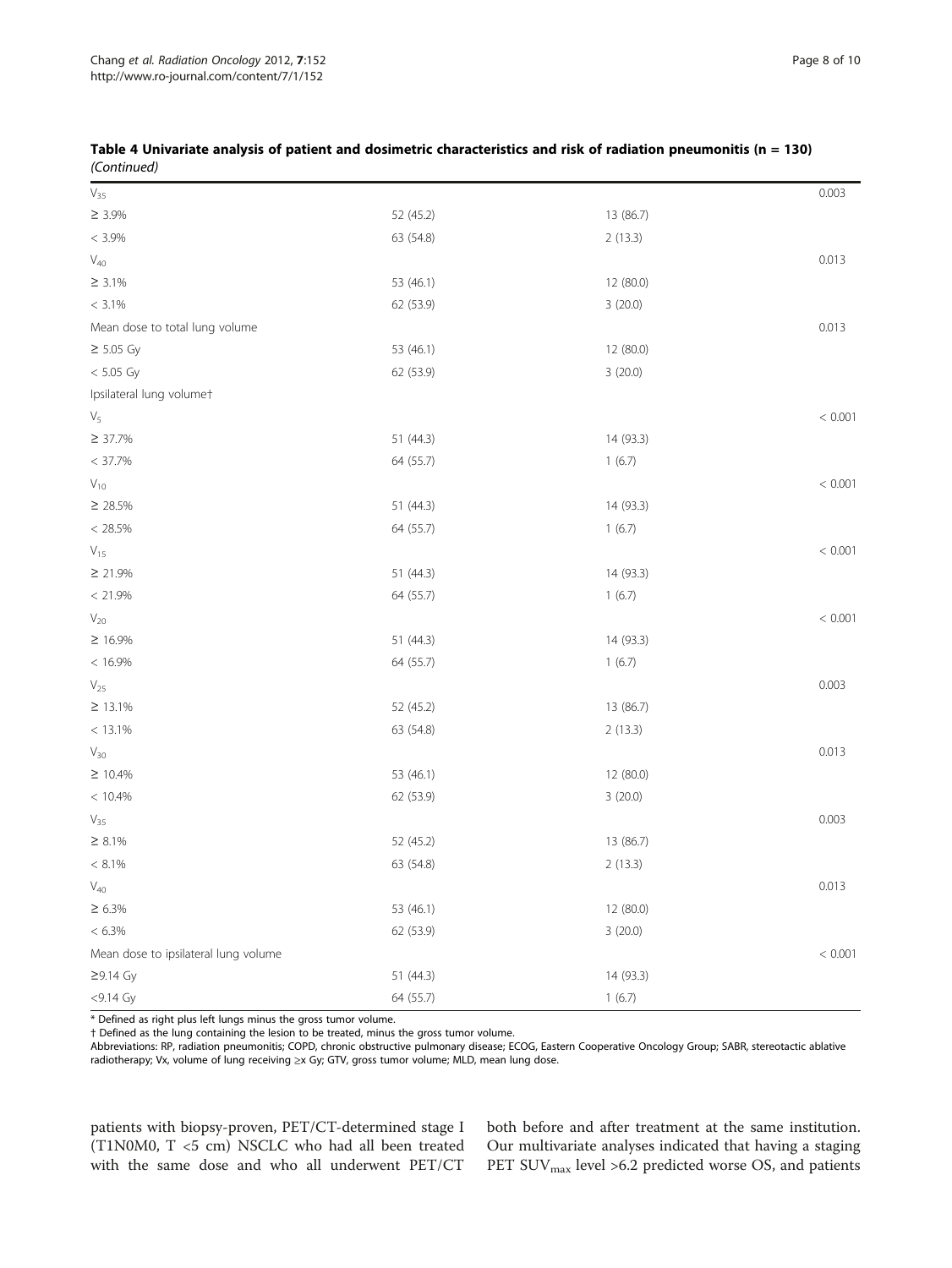|             | Table 4 Univariate analysis of patient and dosimetric characteristics and risk of radiation pneumonitis ( $n = 130$ ) |
|-------------|-----------------------------------------------------------------------------------------------------------------------|
| (Continued) |                                                                                                                       |

| $V_{35}$                             |           |           | 0.003   |
|--------------------------------------|-----------|-----------|---------|
| $\geq 3.9\%$                         | 52 (45.2) | 13 (86.7) |         |
| $< 3.9\%$                            | 63 (54.8) | 2(13.3)   |         |
| $\mathsf{V}_{40}$                    |           |           | 0.013   |
| $\geq 3.1\%$                         | 53 (46.1) | 12 (80.0) |         |
| $< 3.1\%$                            | 62 (53.9) | 3(20.0)   |         |
| Mean dose to total lung volume       |           |           | 0.013   |
| $\geq$ 5.05 Gy                       | 53 (46.1) | 12 (80.0) |         |
| $< 5.05$ Gy                          | 62 (53.9) | 3(20.0)   |         |
| Ipsilateral lung volumet             |           |           |         |
| $\mathsf{V}_5$                       |           |           | < 0.001 |
| $\geq 37.7\%$                        | 51 (44.3) | 14 (93.3) |         |
| $< 37.7\%$                           | 64 (55.7) | 1(6.7)    |         |
| $V_{10}$                             |           |           | < 0.001 |
| $\geq 28.5\%$                        | 51 (44.3) | 14 (93.3) |         |
| $< 28.5\%$                           | 64 (55.7) | 1(6.7)    |         |
| $V_{15}$                             |           |           | < 0.001 |
| $\geq 21.9\%$                        | 51 (44.3) | 14 (93.3) |         |
| < 21.9%                              | 64 (55.7) | 1(6.7)    |         |
| $\mathsf{V}_{20}$                    |           |           | < 0.001 |
| $\geq 16.9\%$                        | 51 (44.3) | 14 (93.3) |         |
| $< 16.9\%$                           | 64 (55.7) | 1(6.7)    |         |
| $\mathsf{V}_{25}$                    |           |           | 0.003   |
| $\geq 13.1\%$                        | 52 (45.2) | 13 (86.7) |         |
| $< 13.1\%$                           | 63 (54.8) | 2(13.3)   |         |
| $\mathsf{V}_{\mathsf{30}}$           |           |           | 0.013   |
| $\geq 10.4\%$                        | 53 (46.1) | 12 (80.0) |         |
| $< 10.4\%$                           | 62 (53.9) | 3(20.0)   |         |
| $\mathsf{V}_{35}$                    |           |           | 0.003   |
| $\geq 8.1\%$                         | 52 (45.2) | 13 (86.7) |         |
| $< 8.1\%$                            | 63 (54.8) | 2(13.3)   |         |
| $\mathsf{V}_{40}$                    |           |           | 0.013   |
| $\geq$ 6.3%                          | 53 (46.1) | 12 (80.0) |         |
| $< 6.3\%$                            | 62 (53.9) | 3(20.0)   |         |
| Mean dose to ipsilateral lung volume |           |           | < 0.001 |
| $\geq$ 9.14 Gy                       | 51 (44.3) | 14 (93.3) |         |
| $<$ 9.14 Gy                          | 64 (55.7) | 1(6.7)    |         |

\* Defined as right plus left lungs minus the gross tumor volume.

† Defined as the lung containing the lesion to be treated, minus the gross tumor volume.

Abbreviations: RP, radiation pneumonitis; COPD, chronic obstructive pulmonary disease; ECOG, Eastern Cooperative Oncology Group; SABR, stereotactic ablative radiotherapy; Vx, volume of lung receiving ≥x Gy; GTV, gross tumor volume; MLD, mean lung dose.

patients with biopsy-proven, PET/CT-determined stage I (T1N0M0, T <5 cm) NSCLC who had all been treated with the same dose and who all underwent PET/CT both before and after treatment at the same institution. Our multivariate analyses indicated that having a staging  $\mathrm{PET}$  SUV $_\mathrm{max}$  level >6.2 predicted worse OS, and patients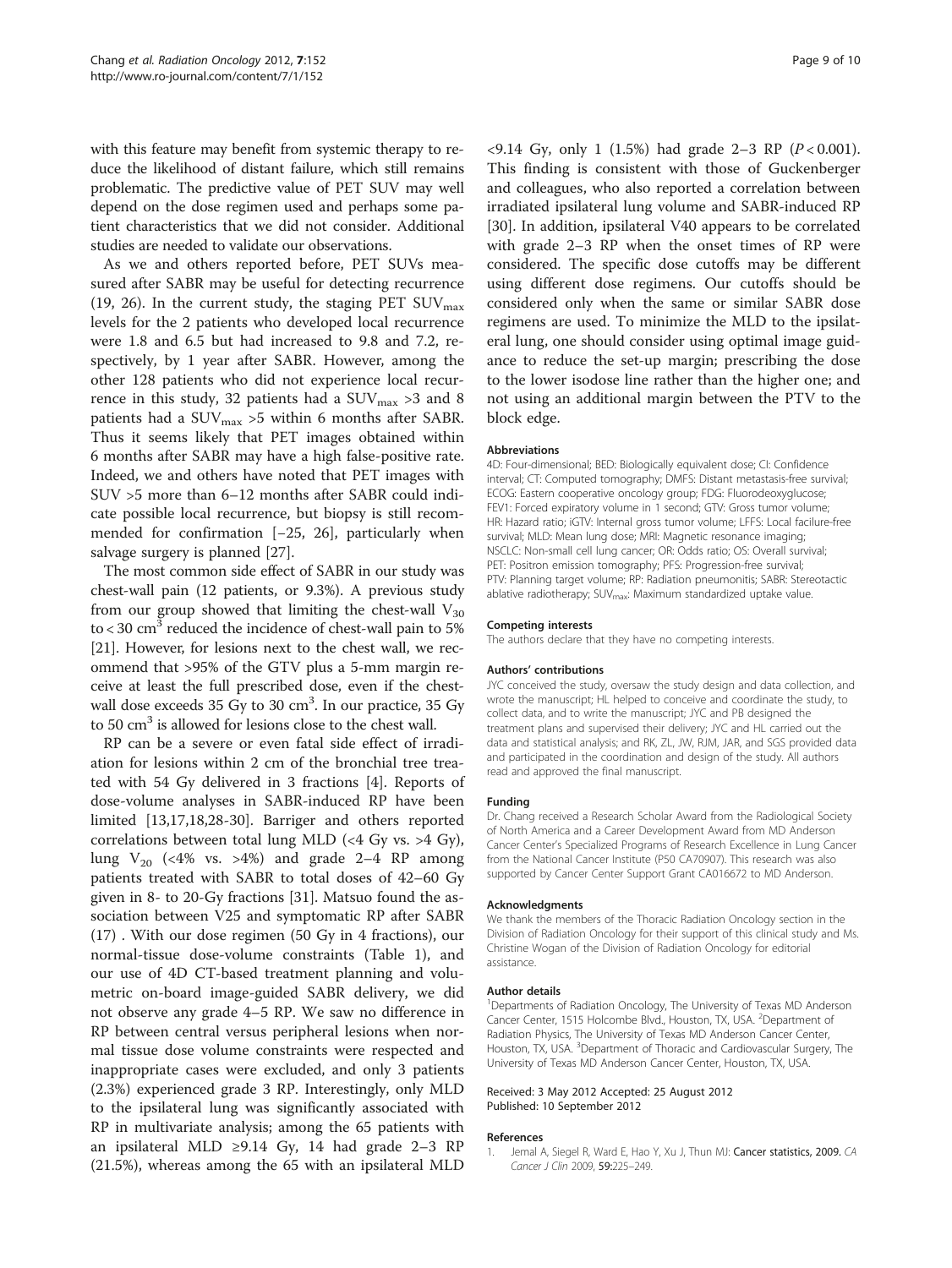<span id="page-8-0"></span>with this feature may benefit from systemic therapy to reduce the likelihood of distant failure, which still remains problematic. The predictive value of PET SUV may well depend on the dose regimen used and perhaps some patient characteristics that we did not consider. Additional studies are needed to validate our observations.

As we and others reported before, PET SUVs measured after SABR may be useful for detecting recurrence (19, 26). In the current study, the staging PET  $\text{SUV}_{\text{max}}$ levels for the 2 patients who developed local recurrence were 1.8 and 6.5 but had increased to 9.8 and 7.2, respectively, by 1 year after SABR. However, among the other 128 patients who did not experience local recurrence in this study, 32 patients had a  $\text{SUV}_{\text{max}} > 3$  and 8 patients had a  $\text{SUV}_{\text{max}}$  >5 within 6 months after SABR. Thus it seems likely that PET images obtained within 6 months after SABR may have a high false-positive rate. Indeed, we and others have noted that PET images with SUV >5 more than 6–12 months after SABR could indicate possible local recurrence, but biopsy is still recommended for confirmation [−25, 26], particularly when salvage surgery is planned [\[27](#page-9-0)].

The most common side effect of SABR in our study was chest-wall pain (12 patients, or 9.3%). A previous study from our group showed that limiting the chest-wall  $V_{30}$ to  $<$  30 cm<sup>3</sup> reduced the incidence of chest-wall pain to 5% [[21](#page-9-0)]. However, for lesions next to the chest wall, we recommend that >95% of the GTV plus a 5-mm margin receive at least the full prescribed dose, even if the chestwall dose exceeds 35 Gy to 30 cm<sup>3</sup>. In our practice, 35 Gy to 50 cm<sup>3</sup> is allowed for lesions close to the chest wall.

RP can be a severe or even fatal side effect of irradiation for lesions within 2 cm of the bronchial tree treated with 54 Gy delivered in 3 fractions [\[4\]](#page-9-0). Reports of dose-volume analyses in SABR-induced RP have been limited [\[13,17,18,28-30](#page-9-0)]. Barriger and others reported correlations between total lung MLD  $(\leq 4 \text{ Gy vs. } > 4 \text{ Gy})$ , lung  $V_{20}$  (<4% vs. >4%) and grade 2–4 RP among patients treated with SABR to total doses of 42–60 Gy given in 8- to 20-Gy fractions [\[31\]](#page-9-0). Matsuo found the association between V25 and symptomatic RP after SABR (17) . With our dose regimen (50 Gy in 4 fractions), our normal-tissue dose-volume constraints (Table [1](#page-2-0)), and our use of 4D CT-based treatment planning and volumetric on-board image-guided SABR delivery, we did not observe any grade 4–5 RP. We saw no difference in RP between central versus peripheral lesions when normal tissue dose volume constraints were respected and inappropriate cases were excluded, and only 3 patients (2.3%) experienced grade 3 RP. Interestingly, only MLD to the ipsilateral lung was significantly associated with RP in multivariate analysis; among the 65 patients with an ipsilateral MLD ≥9.14 Gy, 14 had grade 2–3 RP (21.5%), whereas among the 65 with an ipsilateral MLD  $\langle 9.14 \, \text{Gy}, \, \text{only} \, 1 \, (1.5\%)$  had grade 2-3 RP ( $P \langle 0.001 \rangle$ ). This finding is consistent with those of Guckenberger and colleagues, who also reported a correlation between irradiated ipsilateral lung volume and SABR-induced RP [[30\]](#page-9-0). In addition, ipsilateral V40 appears to be correlated with grade 2–3 RP when the onset times of RP were considered. The specific dose cutoffs may be different using different dose regimens. Our cutoffs should be considered only when the same or similar SABR dose regimens are used. To minimize the MLD to the ipsilateral lung, one should consider using optimal image guidance to reduce the set-up margin; prescribing the dose to the lower isodose line rather than the higher one; and not using an additional margin between the PTV to the block edge.

#### Abbreviations

4D: Four-dimensional; BED: Biologically equivalent dose; CI: Confidence interval; CT: Computed tomography; DMFS: Distant metastasis-free survival; ECOG: Eastern cooperative oncology group; FDG: Fluorodeoxyglucose; FEV1: Forced expiratory volume in 1 second; GTV: Gross tumor volume; HR: Hazard ratio; iGTV: Internal gross tumor volume; LFFS: Local facilure-free survival; MLD: Mean lung dose; MRI: Magnetic resonance imaging; NSCLC: Non-small cell lung cancer; OR: Odds ratio; OS: Overall survival; PET: Positron emission tomography; PFS: Progression-free survival; PTV: Planning target volume; RP: Radiation pneumonitis; SABR: Stereotactic ablative radiotherapy; SUV<sub>max</sub>: Maximum standardized uptake value.

#### Competing interests

The authors declare that they have no competing interests.

#### Authors' contributions

JYC conceived the study, oversaw the study design and data collection, and wrote the manuscript; HL helped to conceive and coordinate the study, to collect data, and to write the manuscript; JYC and PB designed the treatment plans and supervised their delivery; JYC and HL carried out the data and statistical analysis; and RK, ZL, JW, RJM, JAR, and SGS provided data and participated in the coordination and design of the study. All authors read and approved the final manuscript.

#### Funding

Dr. Chang received a Research Scholar Award from the Radiological Society of North America and a Career Development Award from MD Anderson Cancer Center's Specialized Programs of Research Excellence in Lung Cancer from the National Cancer Institute (P50 CA70907). This research was also supported by Cancer Center Support Grant CA016672 to MD Anderson.

#### Acknowledgments

We thank the members of the Thoracic Radiation Oncology section in the Division of Radiation Oncology for their support of this clinical study and Ms. Christine Wogan of the Division of Radiation Oncology for editorial assistance.

#### Author details

<sup>1</sup>Departments of Radiation Oncology, The University of Texas MD Anderson Cancer Center, 1515 Holcombe Blvd., Houston, TX, USA. <sup>2</sup>Department of Radiation Physics, The University of Texas MD Anderson Cancer Center, Houston, TX, USA. <sup>3</sup>Department of Thoracic and Cardiovascular Surgery, The University of Texas MD Anderson Cancer Center, Houston, TX, USA.

#### Received: 3 May 2012 Accepted: 25 August 2012 Published: 10 September 2012

#### References

1. Jemal A, Siegel R, Ward E, Hao Y, Xu J, Thun MJ: Cancer statistics, 2009. CA Cancer J Clin 2009, 59:225–249.